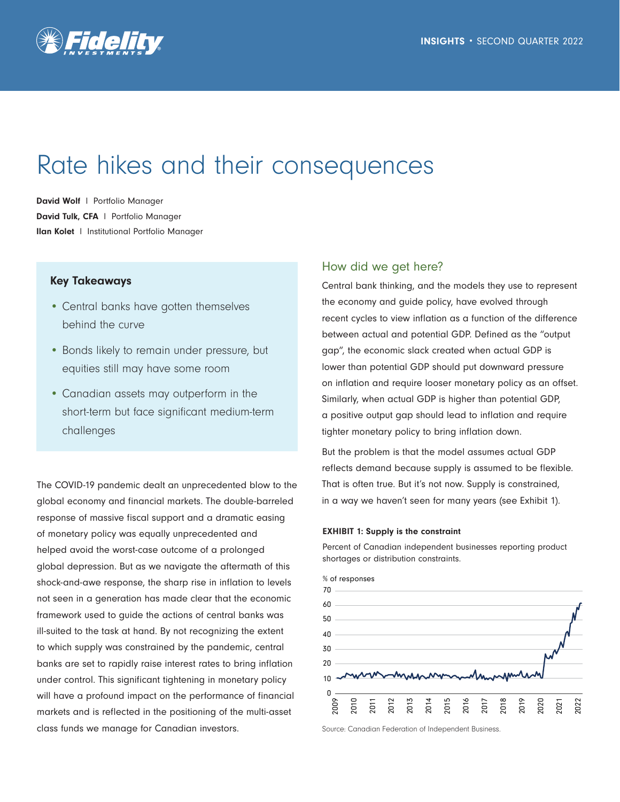

# Rate hikes and their consequences

David Wolf | Portfolio Manager David Tulk, CFA | Portfolio Manager Ilan Kolet l Institutional Portfolio Manager

## Key Takeaways

- Central banks have gotten themselves behind the curve
- Bonds likely to remain under pressure, but equities still may have some room
- Canadian assets may outperform in the short-term but face significant medium-term challenges

The COVID-19 pandemic dealt an unprecedented blow to the global economy and financial markets. The double-barreled response of massive fiscal support and a dramatic easing of monetary policy was equally unprecedented and helped avoid the worst-case outcome of a prolonged global depression. But as we navigate the aftermath of this shock-and-awe response, the sharp rise in inflation to levels not seen in a generation has made clear that the economic framework used to guide the actions of central banks was ill-suited to the task at hand. By not recognizing the extent to which supply was constrained by the pandemic, central banks are set to rapidly raise interest rates to bring inflation under control. This significant tightening in monetary policy will have a profound impact on the performance of financial markets and is reflected in the positioning of the multi-asset class funds we manage for Canadian investors.

# How did we get here?

Central bank thinking, and the models they use to represent the economy and guide policy, have evolved through recent cycles to view inflation as a function of the difference between actual and potential GDP. Defined as the "output gap", the economic slack created when actual GDP is lower than potential GDP should put downward pressure on inflation and require looser monetary policy as an offset. Similarly, when actual GDP is higher than potential GDP, a positive output gap should lead to inflation and require tighter monetary policy to bring inflation down.

But the problem is that the model assumes actual GDP reflects demand because supply is assumed to be flexible. That is often true. But it's not now. Supply is constrained, in a way we haven't seen for many years (see Exhibit 1).

#### EXHIBIT 1: Supply is the constraint

Percent of Canadian independent businesses reporting product shortages or distribution constraints.



Source: Canadian Federation of Independent Business.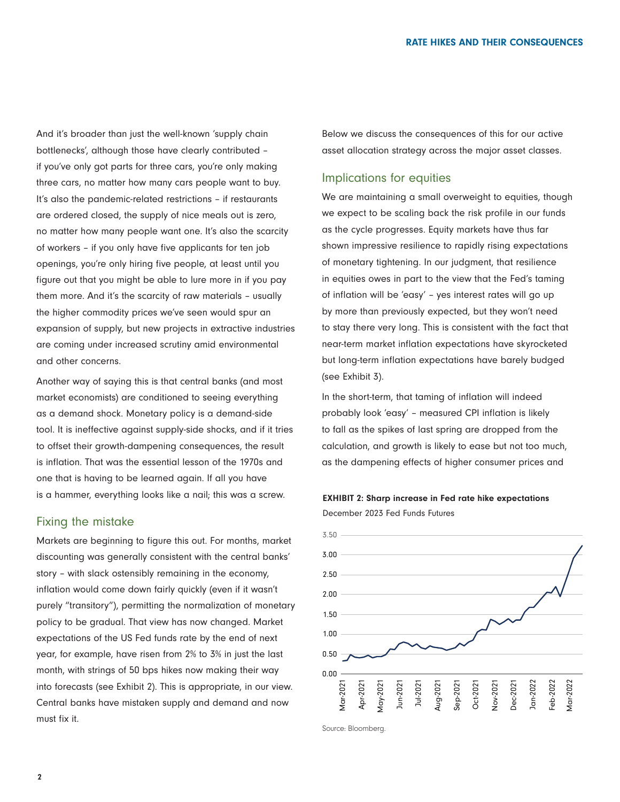And it's broader than just the well-known 'supply chain bottlenecks', although those have clearly contributed – if you've only got parts for three cars, you're only making three cars, no matter how many cars people want to buy. It's also the pandemic-related restrictions – if restaurants are ordered closed, the supply of nice meals out is zero, no matter how many people want one. It's also the scarcity of workers – if you only have five applicants for ten job openings, you're only hiring five people, at least until you figure out that you might be able to lure more in if you pay them more. And it's the scarcity of raw materials – usually the higher commodity prices we've seen would spur an expansion of supply, but new projects in extractive industries are coming under increased scrutiny amid environmental and other concerns.

Another way of saying this is that central banks (and most market economists) are conditioned to seeing everything as a demand shock. Monetary policy is a demand-side tool. It is ineffective against supply-side shocks, and if it tries to offset their growth-dampening consequences, the result is inflation. That was the essential lesson of the 1970s and one that is having to be learned again. If all you have is a hammer, everything looks like a nail; this was a screw.

### Fixing the mistake

Markets are beginning to figure this out. For months, market discounting was generally consistent with the central banks' story – with slack ostensibly remaining in the economy, inflation would come down fairly quickly (even if it wasn't purely "transitory"), permitting the normalization of monetary policy to be gradual. That view has now changed. Market expectations of the US Fed funds rate by the end of next year, for example, have risen from 2% to 3% in just the last month, with strings of 50 bps hikes now making their way into forecasts (see Exhibit 2). This is appropriate, in our view. Central banks have mistaken supply and demand and now must fix it.

Below we discuss the consequences of this for our active asset allocation strategy across the major asset classes.

# Implications for equities

We are maintaining a small overweight to equities, though we expect to be scaling back the risk profile in our funds as the cycle progresses. Equity markets have thus far shown impressive resilience to rapidly rising expectations of monetary tightening. In our judgment, that resilience in equities owes in part to the view that the Fed's taming of inflation will be 'easy' – yes interest rates will go up by more than previously expected, but they won't need to stay there very long. This is consistent with the fact that near-term market inflation expectations have skyrocketed but long-term inflation expectations have barely budged (see Exhibit 3).

In the short-term, that taming of inflation will indeed probably look 'easy' – measured CPI inflation is likely to fall as the spikes of last spring are dropped from the calculation, and growth is likely to ease but not too much, as the dampening effects of higher consumer prices and



December 2023 Fed Funds Futures



Source: Bloomberg.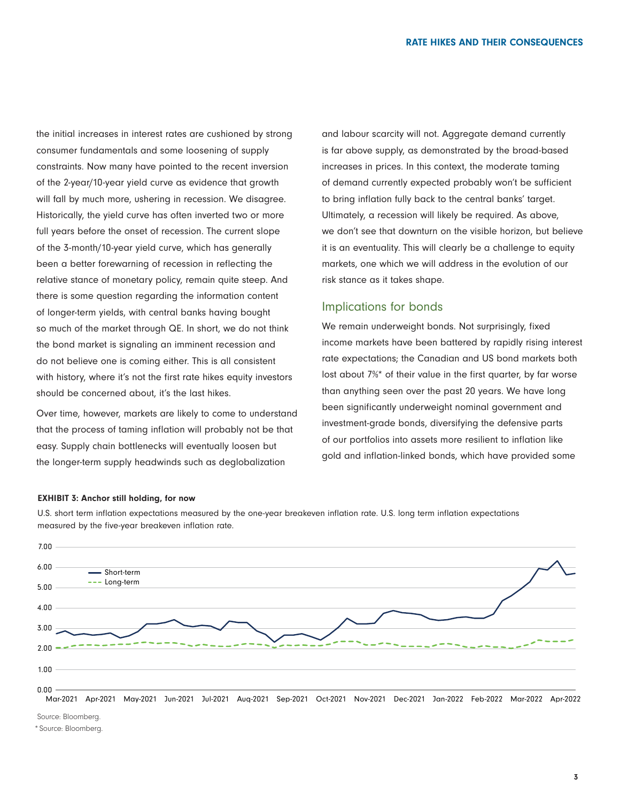the initial increases in interest rates are cushioned by strong consumer fundamentals and some loosening of supply constraints. Now many have pointed to the recent inversion of the 2-year/10-year yield curve as evidence that growth will fall by much more, ushering in recession. We disagree. Historically, the yield curve has often inverted two or more full years before the onset of recession. The current slope of the 3-month/10-year yield curve, which has generally been a better forewarning of recession in reflecting the relative stance of monetary policy, remain quite steep. And there is some question regarding the information content of longer-term yields, with central banks having bought so much of the market through QE. In short, we do not think the bond market is signaling an imminent recession and do not believe one is coming either. This is all consistent with history, where it's not the first rate hikes equity investors should be concerned about, it's the last hikes.

Over time, however, markets are likely to come to understand that the process of taming inflation will probably not be that easy. Supply chain bottlenecks will eventually loosen but the longer-term supply headwinds such as deglobalization

and labour scarcity will not. Aggregate demand currently is far above supply, as demonstrated by the broad-based increases in prices. In this context, the moderate taming of demand currently expected probably won't be sufficient to bring inflation fully back to the central banks' target. Ultimately, a recession will likely be required. As above, we don't see that downturn on the visible horizon, but believe it is an eventuality. This will clearly be a challenge to equity markets, one which we will address in the evolution of our risk stance as it takes shape.

# Implications for bonds

We remain underweight bonds. Not surprisingly, fixed income markets have been battered by rapidly rising interest rate expectations; the Canadian and US bond markets both lost about 7%\* of their value in the first quarter, by far worse than anything seen over the past 20 years. We have long been significantly underweight nominal government and investment-grade bonds, diversifying the defensive parts of our portfolios into assets more resilient to inflation like gold and inflation-linked bonds, which have provided some

#### EXHIBIT 3: Anchor still holding, for now

U.S. short term inflation expectations measured by the one-year breakeven inflation rate. U.S. long term inflation expectations measured by the five-year breakeven inflation rate.



Source: Bloomberg.

\* Source: Bloomberg.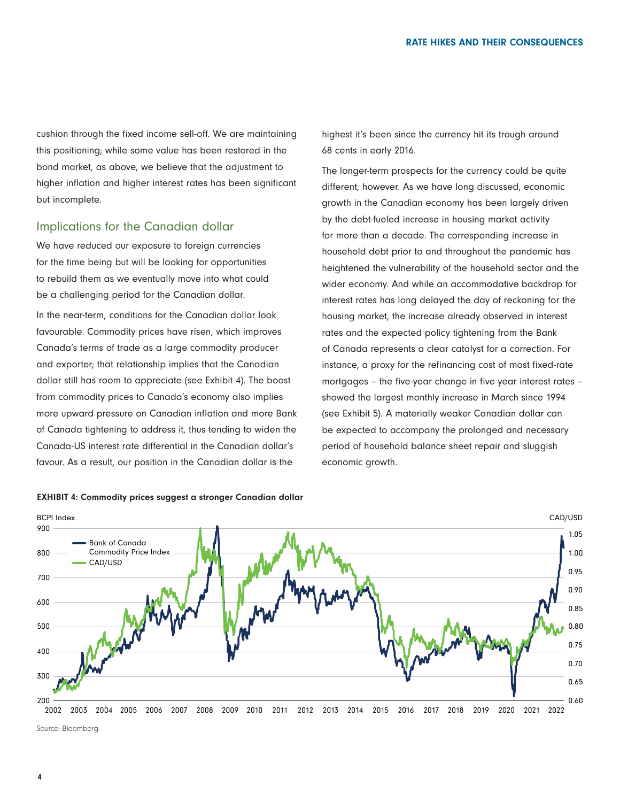cushion through the fixed income sell-off. We are maintaining this positioning; while some value has been restored in the bond market, as above, we believe that the adjustment to higher inflation and higher interest rates has been significant but incomplete.

## Implications for the Canadian dollar

We have reduced our exposure to foreign currencies for the time being but will be looking for opportunities to rebuild them as we eventually move into what could be a challenging period for the Canadian dollar.

In the near-term, conditions for the Canadian dollar look favourable. Commodity prices have risen, which improves Canada's terms of trade as a large commodity producer and exporter; that relationship implies that the Canadian dollar still has room to appreciate (see Exhibit 4). The boost from commodity prices to Canada's economy also implies more upward pressure on Canadian inflation and more Bank of Canada tightening to address it, thus tending to widen the Canada-US interest rate differential in the Canadian dollar's favour. As a result, our position in the Canadian dollar is the

highest it's been since the currency hit its trough around 68 cents in early 2016.

The longer-term prospects for the currency could be quite different, however. As we have long discussed, economic growth in the Canadian economy has been largely driven by the debt-fueled increase in housing market activity for more than a decade. The corresponding increase in household debt prior to and throughout the pandemic has heightened the vulnerability of the household sector and the wider economy. And while an accommodative backdrop for interest rates has long delayed the day of reckoning for the housing market, the increase already observed in interest rates and the expected policy tightening from the Bank of Canada represents a clear catalyst for a correction. For instance, a proxy for the refinancing cost of most fixed-rate mortgages – the five-year change in five year interest rates – showed the largest monthly increase in March since 1994 (see Exhibit 5). A materially weaker Canadian dollar can be expected to accompany the prolonged and necessary period of household balance sheet repair and sluggish economic growth.



## EXHIBIT 4: Commodity prices suggest a stronger Canadian dollar

Source: Bloomberg.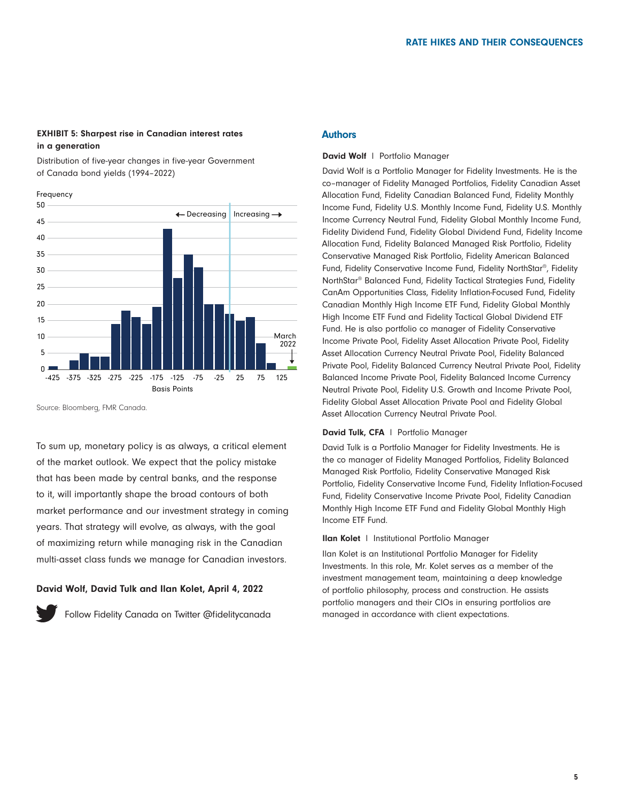### EXHIBIT 5: Sharpest rise in Canadian interest rates in a generation

Distribution of five-year changes in five-year Government of Canada bond yields (1994–2022)



Source: Bloomberg, FMR Canada.

To sum up, monetary policy is as always, a critical element of the market outlook. We expect that the policy mistake that has been made by central banks, and the response to it, will importantly shape the broad contours of both market performance and our investment strategy in coming years. That strategy will evolve, as always, with the goal of maximizing return while managing risk in the Canadian multi-asset class funds we manage for Canadian investors.

#### David Wolf, David Tulk and Ilan Kolet, April 4, 2022



[Follow Fidelity Canada on Twitter @fidelitycanada](https://twitter.com/fidelitycanada)

## **Authors**

#### David Wolf | Portfolio Manager

David Wolf is a Portfolio Manager for Fidelity Investments. He is the co–manager of Fidelity Managed Portfolios, Fidelity Canadian Asset Allocation Fund, Fidelity Canadian Balanced Fund, Fidelity Monthly Income Fund, Fidelity U.S. Monthly Income Fund, Fidelity U.S. Monthly Income Currency Neutral Fund, Fidelity Global Monthly Income Fund, Fidelity Dividend Fund, Fidelity Global Dividend Fund, Fidelity Income Allocation Fund, Fidelity Balanced Managed Risk Portfolio, Fidelity Conservative Managed Risk Portfolio, Fidelity American Balanced Fund, Fidelity Conservative Income Fund, Fidelity NorthStar®, Fidelity NorthStar® Balanced Fund, Fidelity Tactical Strategies Fund, Fidelity CanAm Opportunities Class, Fidelity Inflation-Focused Fund, Fidelity Canadian Monthly High Income ETF Fund, Fidelity Global Monthly High Income ETF Fund and Fidelity Tactical Global Dividend ETF Fund. He is also portfolio co manager of Fidelity Conservative Income Private Pool, Fidelity Asset Allocation Private Pool, Fidelity Asset Allocation Currency Neutral Private Pool, Fidelity Balanced Private Pool, Fidelity Balanced Currency Neutral Private Pool, Fidelity Balanced Income Private Pool, Fidelity Balanced Income Currency Neutral Private Pool, Fidelity U.S. Growth and Income Private Pool, Fidelity Global Asset Allocation Private Pool and Fidelity Global Asset Allocation Currency Neutral Private Pool.

#### David Tulk, CFA | Portfolio Manager

David Tulk is a Portfolio Manager for Fidelity Investments. He is the co manager of Fidelity Managed Portfolios, Fidelity Balanced Managed Risk Portfolio, Fidelity Conservative Managed Risk Portfolio, Fidelity Conservative Income Fund, Fidelity Inflation-Focused Fund, Fidelity Conservative Income Private Pool, Fidelity Canadian Monthly High Income ETF Fund and Fidelity Global Monthly High Income ETF Fund.

#### Ilan Kolet l Institutional Portfolio Manager

Ilan Kolet is an Institutional Portfolio Manager for Fidelity Investments. In this role, Mr. Kolet serves as a member of the investment management team, maintaining a deep knowledge of portfolio philosophy, process and construction. He assists portfolio managers and their CIOs in ensuring portfolios are managed in accordance with client expectations.